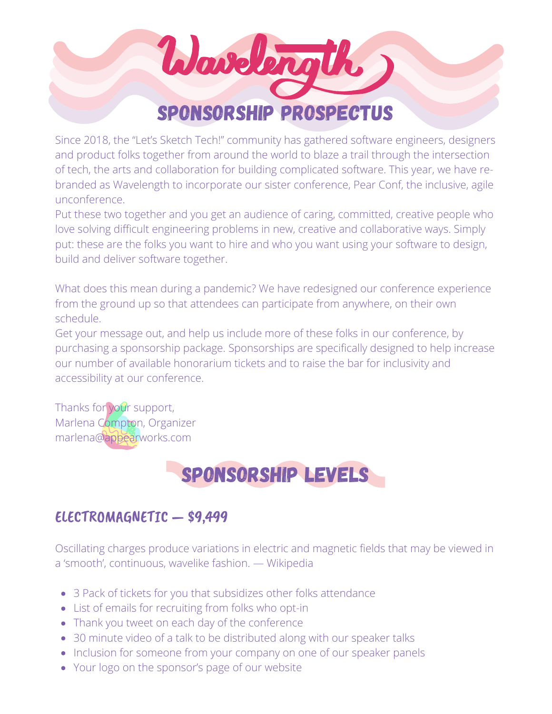

Since 2018, the "Let's Sketch Tech!" community has gathered software engineers, designers and product folks together from around the world to blaze a trail through the intersection of tech, the arts and collaboration for building complicated software. This year, we have rebranded as Wavelength to incorporate our sister conference, Pear Conf, the inclusive, agile unconference.

Put these two together and you get an audience of caring, committed, creative people who love solving difficult engineering problems in new, creative and collaborative ways. Simply put: these are the folks you want to hire and who you want using your software to design, build and deliver software together.

What does this mean during a pandemic? We have redesigned our conference experience from the ground up so that attendees can participate from anywhere, on their own schedule.

Get your message out, and help us include more of these folks in our conference, by purchasing a sponsorship package. Sponsorships are specifically designed to help increase our number of available honorarium tickets and to raise the bar for inclusivity and accessibility at our conference.

Thanks for your support, Marlena Compton, Organizer marlena@appearworks.com

# Sponsorship levels

#### ELECTROMAGNETIC — \$9,499

Oscillating charges produce variations in electric and magnetic fields that may be viewed in a 'smooth', continuous, wavelike fashion. — Wikipedia

- 3 Pack of tickets for you that subsidizes other folks attendance
- List of emails for recruiting from folks who opt-in
- Thank you tweet on each day of the conference
- 30 minute video of a talk to be distributed along with our speaker talks
- Inclusion for someone from your company on one of our speaker panels
- Your logo on the sponsor's page of our website